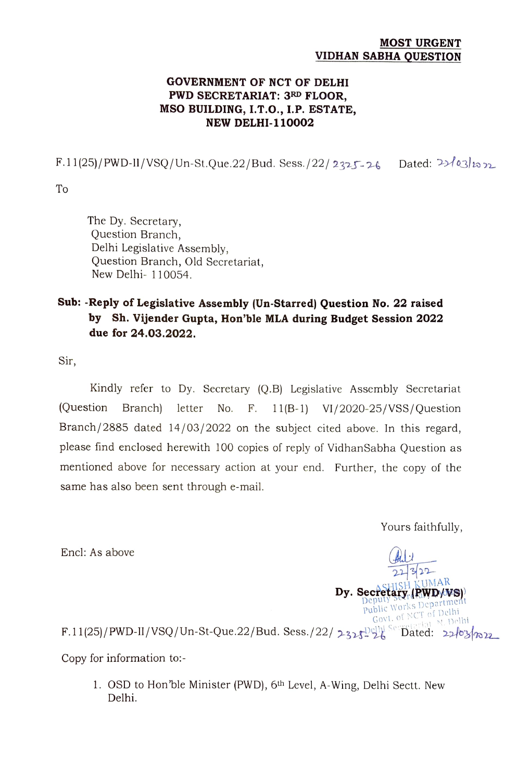## MOST URGENT VIDHAN SABHA QUESTION

## GOVERNMENT OF NCT OF DELHI PWD SECRETARIAT: 3RD FLOOR, MSO BUILDING, I.T.0., 1.P. ESTATE, NEW DELHI-110002

 $F.11(25)/PWD-II/VSQ/Un-St.Que.22/Bud. Sess./22/2325-26$  Dated:  $2\frac{3}{28}$ 

To

The Dy. Secretary, Question Branch, Delhi Legislative Assembly, Question Branch, Old Secretariat, New Delhi- 110054.

## Sub:-Reply of Legislative Assembly (Un-starred) Question No. 22 raised by Sh. Vijender Gupta, Hon'ble MLA during Budget Session 2022 due for 24.03.2022.

Sir,

Kindly refer to Dy. Secretary (Q.B) Legislative Assembly Secretariat (Question Branch) letter No. F. 11(B-1) VI/2020-25/VSS/Question Branch/2885 dated 14/03/2022 on the subject cited above. In this regard, please find enclosed herewith 100 copies of reply of VidhanSabha Question as mentioned above for necessary action at your end. Further, the copy of the same has also been sent through e-mail.

Yours faithfully,

Encl: As above

22 Dy. Secretary (PWD/WS) Deputy Service Department Govt. of NCT of Delhi NCT of Delhi<br>etariat N. Delhi

 $F.11(25)/\mathrm{PWD\text{-}II}/\mathrm{VSQ}/\mathrm{Un\text{-}St\text{-}Que.22}/\mathrm{Bud}.$  Sess./22/  $2.3$  of  $24$   $3.3$  Dated:  $2.2$  or  $\gamma_\infty$ 

Copy for information to:-

1. OSD to Hon 'ble Minister (PWD), 6th Level, A-Wing, Delhi Sectt. New Delhi.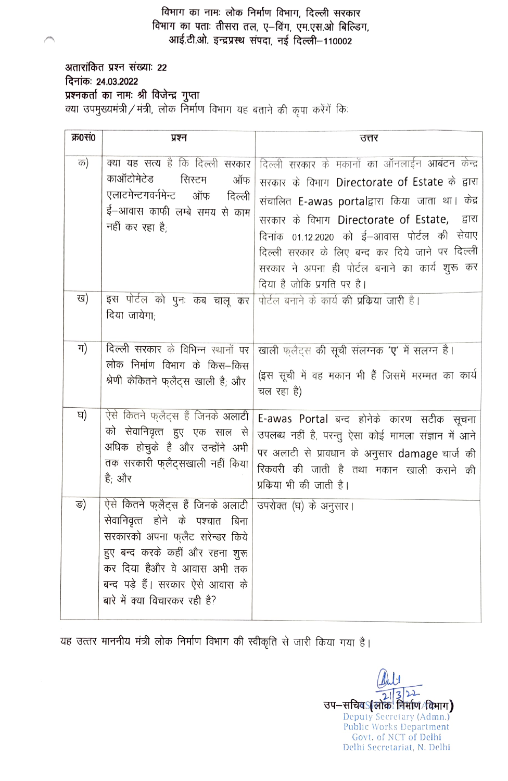विभाग का नामः लोक निर्माण विभाग, दिल्ली सरकार विभाग का पताः तीसरा तल, ए-विंग, एम.एस.ओ बिल्डिग, आई.टी.ओ. इन्द्रप्रस्थ संपदा, नई दिल्ली-110002

अतारांकित प्रश्न संख्याः 22 दिनांकः 24.03.2022 प्रश्नकर्ता का नामः श्री विजेन्द्र गुप्ता 

| क्र0सं0 | प्रश्न                                                                                                                                                                                                                                         | उत्तर                                                                                                                                                                                                                                                                                                                                                                                     |  |  |  |
|---------|------------------------------------------------------------------------------------------------------------------------------------------------------------------------------------------------------------------------------------------------|-------------------------------------------------------------------------------------------------------------------------------------------------------------------------------------------------------------------------------------------------------------------------------------------------------------------------------------------------------------------------------------------|--|--|--|
| क)      | क्या यह सत्य है कि दिल्ली सरकार<br>काऑटोमेटेड<br>सिस्टम<br>ऑफ<br>एलाटमेन्टगवर्नमेन्ट<br>ऑफ<br>दिल्ली<br>ई—आवास काफी लम्बे समय से काम<br>नहीं कर रहा है:                                                                                        | दिल्ली सरकार के मकानों का ऑनलाईन आबंटन केन्द्र<br>सरकार के विभाग Directorate of Estate के द्वारा<br>संचालित E-awas portalद्वारा किया जाता था। केंद्र<br>सरकार के विभाग Directorate of Estate,<br>द्वारा<br>दिनांक 01.12.2020 को ई–आवास पोर्टल की सेवाए<br>दिल्ली सरकार के लिए बन्द कर दिये जाने पर दिल्ली<br>सरकार ने अपना ही पोर्टल बनाने का कार्य शुरू कर<br>दिया है जोकि प्रगति पर है। |  |  |  |
| ख)      | इस पोर्टल को पुनः कब चालू कर<br>दिया जायेगा:                                                                                                                                                                                                   | पोर्टल बनाने के कार्य की प्रकिया जारी है।                                                                                                                                                                                                                                                                                                                                                 |  |  |  |
| ग)      | दिल्ली सरकार के विभिन्न स्थानों पर<br>लोक निर्माण विभाग के किस–किस<br>श्रेणी केकितने फुलैट्स खाली है; और                                                                                                                                       | खाली फ़्लैट्स की सूची संलग्नक 'ए' में सलग्न है।<br>(इस सूची में वह मकान भी हैं जिसमें मरम्मत का कार्य<br>चल रहा है)                                                                                                                                                                                                                                                                       |  |  |  |
| ਬ)      | ऐसे कितने फुलैट्स हैं जिनके अलाटी<br>को सेवानिवृत्त हुए एक साल से<br>अधिक होचुके है और उन्होंने अभी<br>तक सरकारी फ्लैट्सखाली नहीं किया<br>है; और                                                                                               | E-awas Portal बन्द होनेके कारण सटीक सूचना<br>उपलब्ध नहीं है, परन्तु ऐसा कोई मामला संज्ञान में आने<br>पर अलाटी से प्रावधान के अनुसार damage चार्ज की<br>रिकवरी की जाती है तथा मकान खाली कराने की<br>प्रक्रिया भी की जाती है।                                                                                                                                                               |  |  |  |
| ङ)      | ऐसे कितने फ्लैट्स हैं जिनके अलाटी<br>सेवानिवृत्त होने के पश्चात बिना<br>सरकारको अपना फ्लैट सरेन्डर किये<br>हुए बन्द करके कहीं और रहना शुरू<br>कर दिया हैऔर वे आवास अभी तक<br>बन्द पड़े हैं। सरकार ऐसे आवास के<br>बारे में क्या विचारकर रही है? | उपरोक्त (घ) के अनुसार।                                                                                                                                                                                                                                                                                                                                                                    |  |  |  |

यह उत्तर माननीय मंत्री लोक निर्माण विभाग की स्वीकृति से जारी किया गया है।